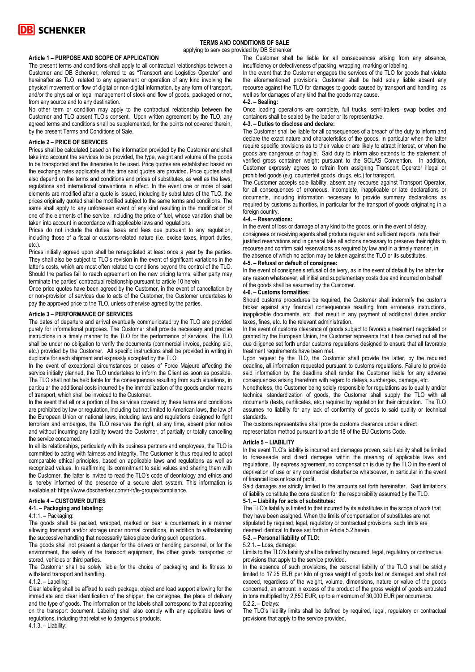

## **TERMS AND CONDITIONS OF SALE**

applying to services provided by DB Schenker

#### **Article 1 – PURPOSE AND SCOPE OF APPLICATION**

The present terms and conditions shall apply to all contractual relationships between a Customer and DB Schenker, referred to as "Transport and Logistics Operator" and hereinafter as TLO, related to any agreement or operation of any kind involving the physical movement or flow of digital or non-digital information, by any form of transport, and/or the physical or legal management of stock and flow of goods, packaged or not, from any source and to any destination.

No other term or condition may apply to the contractual relationship between the Customer and TLO absent TLO's consent. Upon written agreement by the TLO, any agreed terms and conditions shall be supplemented, for the points not covered therein, by the present Terms and Conditions of Sale.

#### **Article 2 – PRICE OF SERVICES**

Prices shall be calculated based on the information provided by the Customer and shall take into account the services to be provided, the type, weight and volume of the goods to be transported and the itineraries to be used. Price quotes are established based on the exchange rates applicable at the time said quotes are provided. Price quotes shall also depend on the terms and conditions and prices of substitutes, as well as the laws, regulations and international conventions in effect. In the event one or more of said elements are modified after a quote is issued, including by substitutes of the TLO, the prices originally quoted shall be modified subject to the same terms and conditions. The same shall apply to any unforeseen event of any kind resulting in the modification of one of the elements of the service, including the price of fuel, whose variation shall be taken into account in accordance with applicable laws and regulations.

Prices do not include the duties, taxes and fees due pursuant to any regulation, including those of a fiscal or customs-related nature (i.e. excise taxes, import duties, etc.).

Prices initially agreed upon shall be renegotiated at least once a year by the parties. They shall also be subject to TLO's revision in the event of significant variations in the latter's costs, which are most often related to conditions beyond the control of the TLO. Should the parties fail to reach agreement on the new pricing terms, either party may terminate the parties' contractual relationship pursuant to article 10 herein.

Once price quotes have been agreed by the Customer, in the event of cancellation by or non-provision of services due to acts of the Customer, the Customer undertakes to pay the approved price to the TLO, unless otherwise agreed by the parties.

### **Article 3 – PERFORMANCE OF SERVICES**

The dates of departure and arrival eventually communicated by the TLO are provided purely for informational purposes. The Customer shall provide necessary and precise instructions in a timely manner to the TLO for the performance of services. The TLO shall be under no obligation to verify the documents (commercial invoice, packing slip, etc.) provided by the Customer. All specific instructions shall be provided in writing in duplicate for each shipment and expressly accepted by the TLO.

In the event of exceptional circumstances or cases of Force Majeure affecting the service initially planned, the TLO undertakes to inform the Client as soon as possible. The TLO shall not be held liable for the consequences resulting from such situations, in particular the additional costs incurred by the immobilization of the goods and/or means of transport, which shall be invoiced to the Customer.

In the event that all or a portion of the services covered by these terms and conditions are prohibited by law or regulation, including but not limited to American laws, the law of the European Union or national laws, including laws and regulations designed to fight terrorism and embargos, the TLO reserves the right, at any time, absent prior notice and without incurring any liability toward the Customer, of partially or totally cancelling the service concerned.

In all its relationships, particularly with its business partners and employees, the TLO is committed to acting with fairness and integrity. The Customer is thus required to adopt comparable ethical principles, based on applicable laws and regulations as well as recognized values. In reaffirming its commitment to said values and sharing them with the Customer, the latter is invited to read the TLO's code of deontology and ethics and is hereby informed of the presence of a secure alert system. This information is available at: https://www.dbschenker.com/fr-fr/le-groupe/compliance.

### **Article 4 – CUSTOMER DUTIES**

# **4-1. – Packaging and labeling:**

4.1.1. – Packaging:

The goods shall be packed, wrapped, marked or bear a countermark in a manner allowing transport and/or storage under normal conditions, in addition to withstanding the successive handling that necessarily takes place during such operations.

The goods shall not present a danger for the drivers or handling personnel, or for the environment, the safety of the transport equipment, the other goods transported or stored, vehicles or third parties.

The Customer shall be solely liable for the choice of packaging and its fitness to withstand transport and handling.

#### 4.1.2. – Labeling:

Clear labeling shall be affixed to each package, object and load support allowing for the immediate and clear identification of the shipper, the consignee, the place of delivery and the type of goods. The information on the labels shall correspond to that appearing on the transport document. Labeling shall also comply with any applicable laws or regulations, including that relative to dangerous products.  $4.\overline{1}.\overline{3}$ . – Liability:

The Customer shall be liable for all consequences arising from any absence, insufficiency or defectiveness of packing, wrapping, marking or labeling.

In the event that the Customer engages the services of the TLO for goods that violate the aforementioned provisions, Customer shall be held solely liable absent any recourse against the TLO for damages to goods caused by transport and handling, as well as for damages of any kind that the goods may cause.

# **4-2. – Sealing:**

Once loading operations are complete, full trucks, semi-trailers, swap bodies and containers shall be sealed by the loader or its representative.

## **4-3. – Duties to disclose and declare:**

The Customer shall be liable for all consequences of a breach of the duty to inform and declare the exact nature and characteristics of the goods, in particular when the latter require specific provisions as to their value or are likely to attract interest, or when the goods are dangerous or fragile. Said duty to inform also extends to the statement of verified gross container weight pursuant to the SOLAS Convention. In addition, Customer expressly agrees to refrain from assigning Transport Operator illegal or prohibited goods (e.g. counterfeit goods, drugs, etc.) for transport.

The Customer accepts sole liability, absent any recourse against Transport Operator, for all consequences of erroneous, incomplete, inapplicable or late declarations or documents, including information necessary to provide summary declarations as required by customs authorities, in particular for the transport of goods originating in a foreign country

#### **4-4. – Reservations:**

In the event of loss or damage of any kind to the goods, or in the event of delay, consignees or receiving agents shall produce regular and sufficient reports, note their justified reservations and in general take all actions necessary to preserve their rights to recourse and confirm said reservations as required by law and in a timely manner, in the absence of which no action may be taken against the TLO or its substitutes.

## **4-5. – Refusal or default of consignee:**

In the event of consignee's refusal of delivery, as in the event of default by the latter for any reason whatsoever, all initial and supplementary costs due and incurred on behalf of the goods shall be assumed by the Customer.

#### **4-6. – Customs formalities:**

Should customs procedures be required, the Customer shall indemnify the customs broker against any financial consequences resulting from erroneous instructions, inapplicable documents, etc. that result in any payment of additional duties and/or taxes, fines, etc. to the relevant administration.

In the event of customs clearance of goods subject to favorable treatment negotiated or granted by the European Union, the Customer represents that it has carried out all the due diligence set forth under customs regulations designed to ensure that all favorable treatment requirements have been met.

Upon request by the TLO, the Customer shall provide the latter, by the required deadline, all information requested pursuant to customs regulations. Failure to provide said information by the deadline shall render the Customer liable for any adverse consequences arising therefrom with regard to delays, surcharges, damage, etc.

Nonetheless, the Customer being solely responsible for regulations as to quality and/or technical standardization of goods, the Customer shall supply the TLO with all documents (tests, certificates, etc.) required by regulation for their circulation. The TLO assumes no liability for any lack of conformity of goods to said quality or technical standards.

The customs representative shall provide customs clearance under a direct representation method pursuant to article 18 of the EU Customs Code.

#### **Article 5 – LIABILITY**

In the event TLO's liability is incurred and damages proven, said liability shall be limited to foreseeable and direct damages within the meaning of applicable laws and regulations. By express agreement, no compensation is due by the TLO in the event of deprivation of use or any commercial disturbance whatsoever, in particular in the event of financial loss or loss of profit.

Said damages are strictly limited to the amounts set forth hereinafter. Said limitations of liability constitute the consideration for the responsibility assumed by the TLO.

#### **5-1. – Liability for acts of substitutes:**

The TLO's liability is limited to that incurred by its substitutes in the scope of work that they have been assigned. When the limits of compensation of substitutes are not stipulated by required, legal, regulatory or contractual provisions, such limits are deemed identical to those set forth in Article 5.2 herein.

### **5-2. – Personal liability of TLO:**

# 5.2.1. – Loss, damage:

Limits to the TLO's liability shall be defined by required, legal, regulatory or contractual provisions that apply to the service provided.

In the absence of such provisions, the personal liability of the TLO shall be strictly limited to 17.25 EUR per kilo of gross weight of goods lost or damaged and shall not exceed, regardless of the weight, volume, dimensions, nature or value of the goods concerned, an amount in excess of the product of the gross weight of goods entrusted in tons multiplied by 2,850 EUR, up to a maximum of 30,000 EUR per occurrence. 5.2.2. – Delays:

The TLO's liability limits shall be defined by required, legal, regulatory or contractual provisions that apply to the service provided.